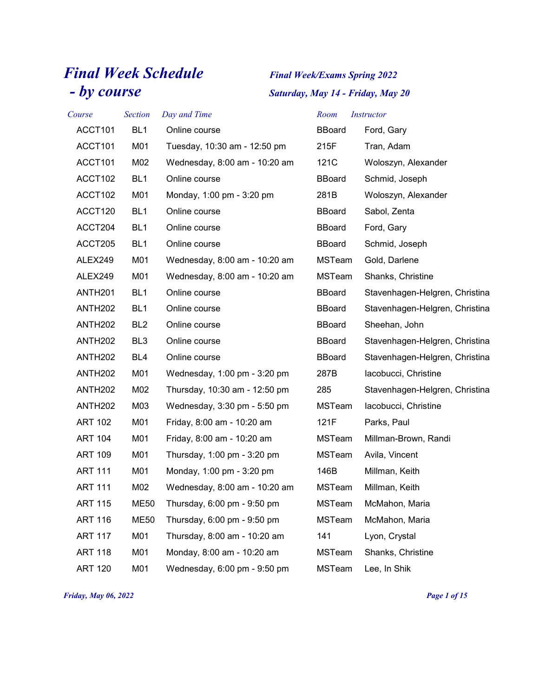## *Final Week Schedule Final Week/Exams Spring 2022 - by course Saturday, May 14 - Friday, May 20*

| Course              | <b>Section</b>  | Day and Time                  | Room          | <i>Instructor</i>              |
|---------------------|-----------------|-------------------------------|---------------|--------------------------------|
| ACCT101             | BL <sub>1</sub> | Online course                 | <b>BBoard</b> | Ford, Gary                     |
| ACCT101             | M01             | Tuesday, 10:30 am - 12:50 pm  | 215F          | Tran, Adam                     |
| ACCT101             | M02             | Wednesday, 8:00 am - 10:20 am | 121C          | Woloszyn, Alexander            |
| ACCT102             | BL <sub>1</sub> | Online course                 | <b>BBoard</b> | Schmid, Joseph                 |
| ACCT102             | M01             | Monday, 1:00 pm - 3:20 pm     | 281B          | Woloszyn, Alexander            |
| ACCT120             | BL <sub>1</sub> | Online course                 | <b>BBoard</b> | Sabol, Zenta                   |
| ACCT204             | BL <sub>1</sub> | Online course                 | <b>BBoard</b> | Ford, Gary                     |
| ACCT205             | BL <sub>1</sub> | Online course                 | <b>BBoard</b> | Schmid, Joseph                 |
| ALEX249             | M01             | Wednesday, 8:00 am - 10:20 am | <b>MSTeam</b> | Gold, Darlene                  |
| ALEX249             | M01             | Wednesday, 8:00 am - 10:20 am | MSTeam        | Shanks, Christine              |
| ANTH <sub>201</sub> | BL <sub>1</sub> | Online course                 | <b>BBoard</b> | Stavenhagen-Helgren, Christina |
| <b>ANTH202</b>      | BL <sub>1</sub> | Online course                 | <b>BBoard</b> | Stavenhagen-Helgren, Christina |
| <b>ANTH202</b>      | BL <sub>2</sub> | Online course                 | <b>BBoard</b> | Sheehan, John                  |
| <b>ANTH202</b>      | BL <sub>3</sub> | Online course                 | <b>BBoard</b> | Stavenhagen-Helgren, Christina |
| <b>ANTH202</b>      | BL4             | Online course                 | <b>BBoard</b> | Stavenhagen-Helgren, Christina |
| <b>ANTH202</b>      | M01             | Wednesday, 1:00 pm - 3:20 pm  | 287B          | lacobucci, Christine           |
| <b>ANTH202</b>      | M02             | Thursday, 10:30 am - 12:50 pm | 285           | Stavenhagen-Helgren, Christina |
| <b>ANTH202</b>      | M03             | Wednesday, 3:30 pm - 5:50 pm  | MSTeam        | lacobucci, Christine           |
| <b>ART 102</b>      | M01             | Friday, 8:00 am - 10:20 am    | 121F          | Parks, Paul                    |
| <b>ART 104</b>      | M01             | Friday, 8:00 am - 10:20 am    | <b>MSTeam</b> | Millman-Brown, Randi           |
| <b>ART 109</b>      | M01             | Thursday, 1:00 pm - 3:20 pm   | MSTeam        | Avila, Vincent                 |
| <b>ART 111</b>      | M01             | Monday, 1:00 pm - 3:20 pm     | 146B          | Millman, Keith                 |
| <b>ART 111</b>      | M02             | Wednesday, 8:00 am - 10:20 am | MSTeam        | Millman, Keith                 |
| <b>ART 115</b>      | <b>ME50</b>     | Thursday, 6:00 pm - 9:50 pm   | MSTeam        | McMahon, Maria                 |
| <b>ART 116</b>      | <b>ME50</b>     | Thursday, 6:00 pm - 9:50 pm   | MSTeam        | McMahon, Maria                 |
| <b>ART 117</b>      | M01             | Thursday, 8:00 am - 10:20 am  | 141           | Lyon, Crystal                  |
| <b>ART 118</b>      | M01             | Monday, 8:00 am - 10:20 am    | MSTeam        | Shanks, Christine              |
| <b>ART 120</b>      | M01             | Wednesday, 6:00 pm - 9:50 pm  | MSTeam        | Lee, In Shik                   |

*Friday, May 06, 2022 Page 1 of 15*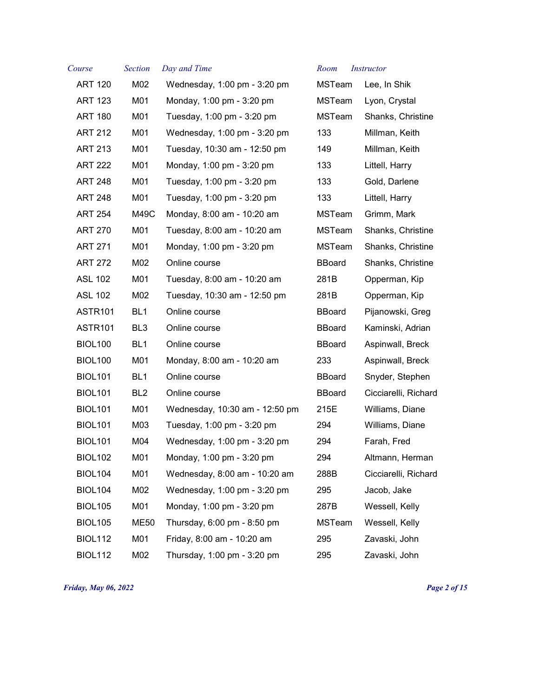| Course         | <b>Section</b>  | Day and Time                   | Room          | <b>Instructor</b>    |
|----------------|-----------------|--------------------------------|---------------|----------------------|
| <b>ART 120</b> | M02             | Wednesday, 1:00 pm - 3:20 pm   | <b>MSTeam</b> | Lee, In Shik         |
| <b>ART 123</b> | M01             | Monday, 1:00 pm - 3:20 pm      | MSTeam        | Lyon, Crystal        |
| <b>ART 180</b> | M01             | Tuesday, 1:00 pm - 3:20 pm     | MSTeam        | Shanks, Christine    |
| <b>ART 212</b> | M01             | Wednesday, 1:00 pm - 3:20 pm   | 133           | Millman, Keith       |
| <b>ART 213</b> | M01             | Tuesday, 10:30 am - 12:50 pm   | 149           | Millman, Keith       |
| <b>ART 222</b> | M01             | Monday, 1:00 pm - 3:20 pm      | 133           | Littell, Harry       |
| <b>ART 248</b> | M01             | Tuesday, 1:00 pm - 3:20 pm     | 133           | Gold, Darlene        |
| <b>ART 248</b> | M01             | Tuesday, 1:00 pm - 3:20 pm     | 133           | Littell, Harry       |
| <b>ART 254</b> | M49C            | Monday, 8:00 am - 10:20 am     | <b>MSTeam</b> | Grimm, Mark          |
| <b>ART 270</b> | M01             | Tuesday, 8:00 am - 10:20 am    | <b>MSTeam</b> | Shanks, Christine    |
| <b>ART 271</b> | M01             | Monday, 1:00 pm - 3:20 pm      | MSTeam        | Shanks, Christine    |
| <b>ART 272</b> | M02             | Online course                  | <b>BBoard</b> | Shanks, Christine    |
| <b>ASL 102</b> | M01             | Tuesday, 8:00 am - 10:20 am    | 281B          | Opperman, Kip        |
| <b>ASL 102</b> | M02             | Tuesday, 10:30 am - 12:50 pm   | 281B          | Opperman, Kip        |
| <b>ASTR101</b> | BL <sub>1</sub> | Online course                  | <b>BBoard</b> | Pijanowski, Greg     |
| <b>ASTR101</b> | BL <sub>3</sub> | Online course                  | <b>BBoard</b> | Kaminski, Adrian     |
| <b>BIOL100</b> | BL <sub>1</sub> | Online course                  | <b>BBoard</b> | Aspinwall, Breck     |
| <b>BIOL100</b> | M01             | Monday, 8:00 am - 10:20 am     | 233           | Aspinwall, Breck     |
| <b>BIOL101</b> | BL <sub>1</sub> | Online course                  | <b>BBoard</b> | Snyder, Stephen      |
| <b>BIOL101</b> | BL <sub>2</sub> | Online course                  | <b>BBoard</b> | Cicciarelli, Richard |
| <b>BIOL101</b> | M01             | Wednesday, 10:30 am - 12:50 pm | 215E          | Williams, Diane      |
| <b>BIOL101</b> | M03             | Tuesday, 1:00 pm - 3:20 pm     | 294           | Williams, Diane      |
| <b>BIOL101</b> | M04             | Wednesday, 1:00 pm - 3:20 pm   | 294           | Farah, Fred          |
| <b>BIOL102</b> | M01             | Monday, 1:00 pm - 3:20 pm      | 294           | Altmann, Herman      |
| <b>BIOL104</b> | M01             | Wednesday, 8:00 am - 10:20 am  | 288B          | Cicciarelli, Richard |
| <b>BIOL104</b> | M02             | Wednesday, 1:00 pm - 3:20 pm   | 295           | Jacob, Jake          |
| <b>BIOL105</b> | M01             | Monday, 1:00 pm - 3:20 pm      | 287B          | Wessell, Kelly       |
| <b>BIOL105</b> | <b>ME50</b>     | Thursday, 6:00 pm - 8:50 pm    | MSTeam        | Wessell, Kelly       |
| <b>BIOL112</b> | M01             | Friday, 8:00 am - 10:20 am     | 295           | Zavaski, John        |
| <b>BIOL112</b> | M02             | Thursday, 1:00 pm - 3:20 pm    | 295           | Zavaski, John        |
|                |                 |                                |               |                      |

*Friday, May 06, 2022 Page 2 of 15*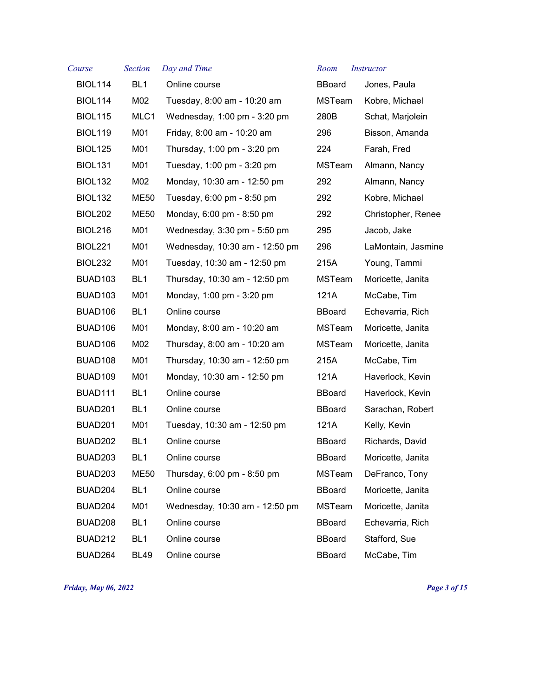| Course              | <b>Section</b>  | Day and Time                   | Room          | <i>Instructor</i>  |
|---------------------|-----------------|--------------------------------|---------------|--------------------|
| <b>BIOL114</b>      | BL <sub>1</sub> | Online course                  | <b>BBoard</b> | Jones, Paula       |
| <b>BIOL114</b>      | M02             | Tuesday, 8:00 am - 10:20 am    | <b>MSTeam</b> | Kobre, Michael     |
| <b>BIOL115</b>      | MLC1            | Wednesday, 1:00 pm - 3:20 pm   | 280B          | Schat, Marjolein   |
| <b>BIOL119</b>      | M01             | Friday, 8:00 am - 10:20 am     | 296           | Bisson, Amanda     |
| <b>BIOL125</b>      | M01             | Thursday, 1:00 pm - 3:20 pm    | 224           | Farah, Fred        |
| <b>BIOL131</b>      | M01             | Tuesday, 1:00 pm - 3:20 pm     | <b>MSTeam</b> | Almann, Nancy      |
| <b>BIOL132</b>      | M02             | Monday, 10:30 am - 12:50 pm    | 292           | Almann, Nancy      |
| <b>BIOL132</b>      | <b>ME50</b>     | Tuesday, 6:00 pm - 8:50 pm     | 292           | Kobre, Michael     |
| <b>BIOL202</b>      | <b>ME50</b>     | Monday, 6:00 pm - 8:50 pm      | 292           | Christopher, Renee |
| <b>BIOL216</b>      | M01             | Wednesday, 3:30 pm - 5:50 pm   | 295           | Jacob, Jake        |
| <b>BIOL221</b>      | M01             | Wednesday, 10:30 am - 12:50 pm | 296           | LaMontain, Jasmine |
| BIOL <sub>232</sub> | M01             | Tuesday, 10:30 am - 12:50 pm   | 215A          | Young, Tammi       |
| BUAD <sub>103</sub> | BL <sub>1</sub> | Thursday, 10:30 am - 12:50 pm  | <b>MSTeam</b> | Moricette, Janita  |
| BUAD <sub>103</sub> | M01             | Monday, 1:00 pm - 3:20 pm      | 121A          | McCabe, Tim        |
| BUAD106             | BL <sub>1</sub> | Online course                  | <b>BBoard</b> | Echevarria, Rich   |
| BUAD <sub>106</sub> | M01             | Monday, 8:00 am - 10:20 am     | <b>MSTeam</b> | Moricette, Janita  |
| BUAD106             | M02             | Thursday, 8:00 am - 10:20 am   | <b>MSTeam</b> | Moricette, Janita  |
| BUAD108             | M01             | Thursday, 10:30 am - 12:50 pm  | 215A          | McCabe, Tim        |
| BUAD109             | M01             | Monday, 10:30 am - 12:50 pm    | 121A          | Haverlock, Kevin   |
| BUAD111             | BL <sub>1</sub> | Online course                  | <b>BBoard</b> | Haverlock, Kevin   |
| BUAD201             | BL <sub>1</sub> | Online course                  | <b>BBoard</b> | Sarachan, Robert   |
| BUAD201             | M01             | Tuesday, 10:30 am - 12:50 pm   | 121A          | Kelly, Kevin       |
| BUAD202             | BL <sub>1</sub> | Online course                  | <b>BBoard</b> | Richards, David    |
| BUAD203             | BL <sub>1</sub> | Online course                  | <b>BBoard</b> | Moricette, Janita  |
| BUAD203             | <b>ME50</b>     | Thursday, 6:00 pm - 8:50 pm    | <b>MSTeam</b> | DeFranco, Tony     |
| BUAD204             | BL <sub>1</sub> | Online course                  | <b>BBoard</b> | Moricette, Janita  |
| BUAD204             | M01             | Wednesday, 10:30 am - 12:50 pm | MSTeam        | Moricette, Janita  |
| BUAD208             | BL <sub>1</sub> | Online course                  | <b>BBoard</b> | Echevarria, Rich   |
| <b>BUAD212</b>      | BL <sub>1</sub> | Online course                  | <b>BBoard</b> | Stafford, Sue      |
| BUAD264             | <b>BL49</b>     | Online course                  | <b>BBoard</b> | McCabe, Tim        |

*Friday, May 06, 2022 Page 3 of 15*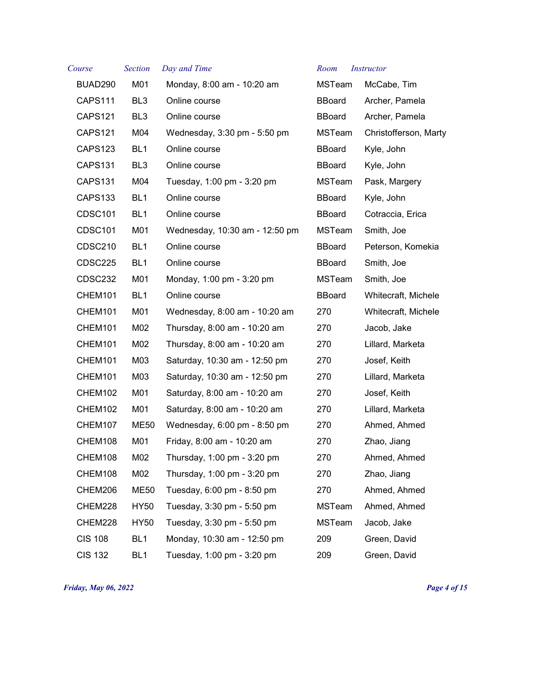| Course              | <b>Section</b>  | Day and Time                   | Room          | <i>Instructor</i>     |
|---------------------|-----------------|--------------------------------|---------------|-----------------------|
| BUAD290             | M01             | Monday, 8:00 am - 10:20 am     | <b>MSTeam</b> | McCabe, Tim           |
| CAPS111             | BL3             | Online course                  | <b>BBoard</b> | Archer, Pamela        |
| CAPS121             | BL <sub>3</sub> | Online course                  | <b>BBoard</b> | Archer, Pamela        |
| CAPS121             | M04             | Wednesday, 3:30 pm - 5:50 pm   | MSTeam        | Christofferson, Marty |
| CAPS123             | BL <sub>1</sub> | Online course                  | <b>BBoard</b> | Kyle, John            |
| <b>CAPS131</b>      | BL <sub>3</sub> | Online course                  | <b>BBoard</b> | Kyle, John            |
| CAPS131             | M04             | Tuesday, 1:00 pm - 3:20 pm     | MSTeam        | Pask, Margery         |
| CAPS133             | BL <sub>1</sub> | Online course                  | <b>BBoard</b> | Kyle, John            |
| CDSC101             | BL <sub>1</sub> | Online course                  | <b>BBoard</b> | Cotraccia, Erica      |
| CDSC101             | M01             | Wednesday, 10:30 am - 12:50 pm | <b>MSTeam</b> | Smith, Joe            |
| CDSC210             | BL <sub>1</sub> | Online course                  | <b>BBoard</b> | Peterson, Komekia     |
| CDSC225             | BL <sub>1</sub> | Online course                  | <b>BBoard</b> | Smith, Joe            |
| CDSC232             | M01             | Monday, 1:00 pm - 3:20 pm      | MSTeam        | Smith, Joe            |
| CHEM101             | BL <sub>1</sub> | Online course                  | <b>BBoard</b> | Whitecraft, Michele   |
| CHEM101             | M01             | Wednesday, 8:00 am - 10:20 am  | 270           | Whitecraft, Michele   |
| CHEM101             | M02             | Thursday, 8:00 am - 10:20 am   | 270           | Jacob, Jake           |
| CHEM101             | M02             | Thursday, 8:00 am - 10:20 am   | 270           | Lillard, Marketa      |
| CHEM101             | M03             | Saturday, 10:30 am - 12:50 pm  | 270           | Josef, Keith          |
| CHEM <sub>101</sub> | M03             | Saturday, 10:30 am - 12:50 pm  | 270           | Lillard, Marketa      |
| CHEM102             | M01             | Saturday, 8:00 am - 10:20 am   | 270           | Josef, Keith          |
| CHEM102             | M01             | Saturday, 8:00 am - 10:20 am   | 270           | Lillard, Marketa      |
| CHEM107             | <b>ME50</b>     | Wednesday, 6:00 pm - 8:50 pm   | 270           | Ahmed, Ahmed          |
| CHEM108             | M01             | Friday, 8:00 am - 10:20 am     | 270           | Zhao, Jiang           |
| CHEM108             | M02             | Thursday, 1:00 pm - 3:20 pm    | 270           | Ahmed, Ahmed          |
| CHEM108             | M02             | Thursday, 1:00 pm - 3:20 pm    | 270           | Zhao, Jiang           |
| CHEM206             | <b>ME50</b>     | Tuesday, 6:00 pm - 8:50 pm     | 270           | Ahmed, Ahmed          |
| CHEM228             | <b>HY50</b>     | Tuesday, 3:30 pm - 5:50 pm     | MSTeam        | Ahmed, Ahmed          |
| CHEM228             | <b>HY50</b>     | Tuesday, 3:30 pm - 5:50 pm     | MSTeam        | Jacob, Jake           |
| <b>CIS 108</b>      | BL <sub>1</sub> | Monday, 10:30 am - 12:50 pm    | 209           | Green, David          |
| <b>CIS 132</b>      | BL <sub>1</sub> | Tuesday, 1:00 pm - 3:20 pm     | 209           | Green, David          |

| MSIeam        | McCabe, I im        |
|---------------|---------------------|
| BBoard        | Archer, Pamela      |
| BBoard        | Archer, Pamela      |
| MSTeam        | Christofferson, Ma  |
| BBoard        | Kyle, John          |
| BBoard        | Kyle, John          |
| <b>MSTeam</b> | Pask, Margery       |
| BBoard        | Kyle, John          |
| BBoard        | Cotraccia, Erica    |
| MSTeam        | Smith, Joe          |
| BBoard        | Peterson, Komekia   |
| BBoard        | Smith, Joe          |
| MSTeam        | Smith, Joe          |
| BBoard        | Whitecraft, Michele |
| 270           | Whitecraft, Michele |
| 270           | Jacob, Jake         |
| 270           | Lillard, Marketa    |
| 270           | Josef, Keith        |
| 270           | Lillard, Marketa    |
| 270           | Josef, Keith        |
| 270           | Lillard, Marketa    |
| 270           | Ahmed, Ahmed        |
| 270           | Zhao, Jiang         |
| 270           | Ahmed, Ahmed        |
| 270           | Zhao, Jiang         |
| 270           | Ahmed, Ahmed        |
| MSTeam        | Ahmed, Ahmed        |
| MSTeam        | Jacob, Jake         |
| 209           | Green, David        |
| 209           | Green, David        |

*Friday, May 06, 2022 Page 4 of 15*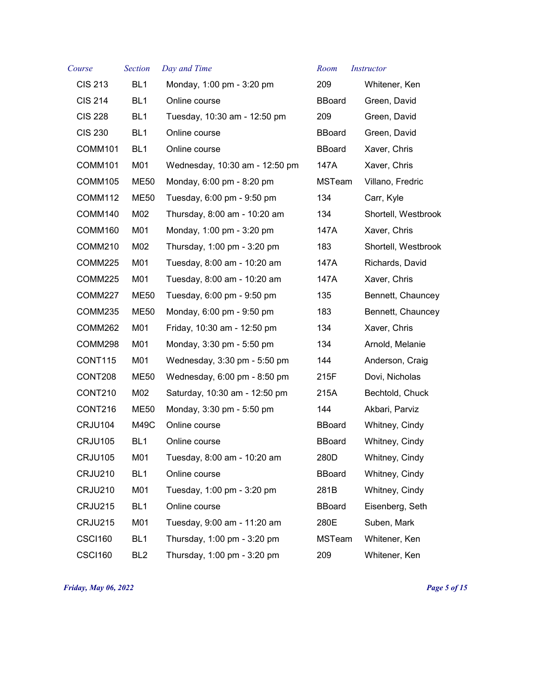| Course         | <b>Section</b>  | Day and Time                   | Room          | <i>Instructor</i>   |
|----------------|-----------------|--------------------------------|---------------|---------------------|
| <b>CIS 213</b> | BL <sub>1</sub> | Monday, 1:00 pm - 3:20 pm      | 209           | Whitener, Ken       |
| <b>CIS 214</b> | BL <sub>1</sub> | Online course                  | <b>BBoard</b> | Green, David        |
| <b>CIS 228</b> | BL <sub>1</sub> | Tuesday, 10:30 am - 12:50 pm   | 209           | Green, David        |
| <b>CIS 230</b> | BL <sub>1</sub> | Online course                  | <b>BBoard</b> | Green, David        |
| COMM101        | BL <sub>1</sub> | Online course                  | <b>BBoard</b> | Xaver, Chris        |
| COMM101        | M01             | Wednesday, 10:30 am - 12:50 pm | 147A          | Xaver, Chris        |
| COMM105        | <b>ME50</b>     | Monday, 6:00 pm - 8:20 pm      | MSTeam        | Villano, Fredric    |
| COMM112        | <b>ME50</b>     | Tuesday, 6:00 pm - 9:50 pm     | 134           | Carr, Kyle          |
| COMM140        | M02             | Thursday, 8:00 am - 10:20 am   | 134           | Shortell, Westbrook |
| COMM160        | M01             | Monday, 1:00 pm - 3:20 pm      | 147A          | Xaver, Chris        |
| COMM210        | M02             | Thursday, 1:00 pm - 3:20 pm    | 183           | Shortell, Westbrook |
| COMM225        | M01             | Tuesday, 8:00 am - 10:20 am    | 147A          | Richards, David     |
| COMM225        | M01             | Tuesday, 8:00 am - 10:20 am    | 147A          | Xaver, Chris        |
| COMM227        | <b>ME50</b>     | Tuesday, 6:00 pm - 9:50 pm     | 135           | Bennett, Chauncey   |
| COMM235        | <b>ME50</b>     | Monday, 6:00 pm - 9:50 pm      | 183           | Bennett, Chauncey   |
| COMM262        | M01             | Friday, 10:30 am - 12:50 pm    | 134           | Xaver, Chris        |
| COMM298        | M01             | Monday, 3:30 pm - 5:50 pm      | 134           | Arnold, Melanie     |
| CONT115        | M01             | Wednesday, 3:30 pm - 5:50 pm   | 144           | Anderson, Craig     |
| CONT208        | <b>ME50</b>     | Wednesday, 6:00 pm - 8:50 pm   | 215F          | Dovi, Nicholas      |
| CONT210        | M02             | Saturday, 10:30 am - 12:50 pm  | 215A          | Bechtold, Chuck     |
| CONT216        | <b>ME50</b>     | Monday, 3:30 pm - 5:50 pm      | 144           | Akbari, Parviz      |
| CRJU104        | M49C            | Online course                  | <b>BBoard</b> | Whitney, Cindy      |
| CRJU105        | BL <sub>1</sub> | Online course                  | <b>BBoard</b> | Whitney, Cindy      |
| <b>CRJU105</b> | M01             | Tuesday, 8:00 am - 10:20 am    | 280D          | Whitney, Cindy      |
| <b>CRJU210</b> | BL <sub>1</sub> | Online course                  | <b>BBoard</b> | Whitney, Cindy      |
| <b>CRJU210</b> | M01             | Tuesday, 1:00 pm - 3:20 pm     | 281B          | Whitney, Cindy      |
| CRJU215        | BL <sub>1</sub> | Online course                  | <b>BBoard</b> | Eisenberg, Seth     |
| CRJU215        | M01             | Tuesday, 9:00 am - 11:20 am    | 280E          | Suben, Mark         |
| <b>CSCI160</b> | BL <sub>1</sub> | Thursday, 1:00 pm - 3:20 pm    | <b>MSTeam</b> | Whitener, Ken       |
| <b>CSCI160</b> | BL <sub>2</sub> | Thursday, 1:00 pm - 3:20 pm    | 209           | Whitener, Ken       |

*Friday, May 06, 2022 Page 5 of 15*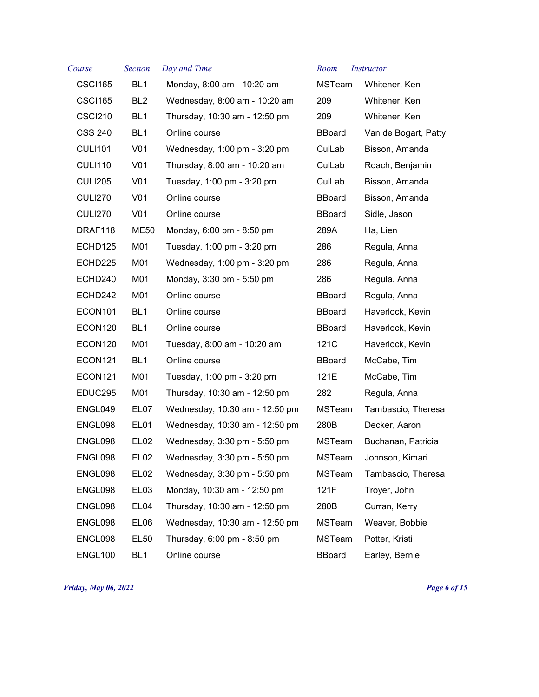| Course         | <b>Section</b>   | Day and Time                   | Room          | <b>Instructor</b>    |
|----------------|------------------|--------------------------------|---------------|----------------------|
| <b>CSCI165</b> | BL <sub>1</sub>  | Monday, 8:00 am - 10:20 am     | <b>MSTeam</b> | Whitener, Ken        |
| <b>CSCI165</b> | BL <sub>2</sub>  | Wednesday, 8:00 am - 10:20 am  | 209           | Whitener, Ken        |
| CSCI210        | BL1              | Thursday, 10:30 am - 12:50 pm  | 209           | Whitener, Ken        |
| <b>CSS 240</b> | BL <sub>1</sub>  | Online course                  | <b>BBoard</b> | Van de Bogart, Patty |
| <b>CULI101</b> | V <sub>01</sub>  | Wednesday, 1:00 pm - 3:20 pm   | CulLab        | Bisson, Amanda       |
| <b>CULI110</b> | V <sub>01</sub>  | Thursday, 8:00 am - 10:20 am   | CulLab        | Roach, Benjamin      |
| <b>CULI205</b> | V <sub>01</sub>  | Tuesday, 1:00 pm - 3:20 pm     | CulLab        | Bisson, Amanda       |
| <b>CULI270</b> | V <sub>01</sub>  | Online course                  | <b>BBoard</b> | Bisson, Amanda       |
| <b>CULI270</b> | V <sub>01</sub>  | Online course                  | <b>BBoard</b> | Sidle, Jason         |
| DRAF118        | ME50             | Monday, 6:00 pm - 8:50 pm      | 289A          | Ha, Lien             |
| ECHD125        | M01              | Tuesday, 1:00 pm - 3:20 pm     | 286           | Regula, Anna         |
| ECHD225        | M01              | Wednesday, 1:00 pm - 3:20 pm   | 286           | Regula, Anna         |
| ECHD240        | M01              | Monday, 3:30 pm - 5:50 pm      | 286           | Regula, Anna         |
| ECHD242        | M01              | Online course                  | <b>BBoard</b> | Regula, Anna         |
| ECON101        | BL <sub>1</sub>  | Online course                  | <b>BBoard</b> | Haverlock, Kevin     |
| ECON120        | BL1              | Online course                  | <b>BBoard</b> | Haverlock, Kevin     |
| ECON120        | M01              | Tuesday, 8:00 am - 10:20 am    | 121C          | Haverlock, Kevin     |
| ECON121        | BL <sub>1</sub>  | Online course                  | <b>BBoard</b> | McCabe, Tim          |
| ECON121        | M01              | Tuesday, 1:00 pm - 3:20 pm     | 121E          | McCabe, Tim          |
| EDUC295        | M01              | Thursday, 10:30 am - 12:50 pm  | 282           | Regula, Anna         |
| ENGL049        | EL07             | Wednesday, 10:30 am - 12:50 pm | <b>MSTeam</b> | Tambascio, Theresa   |
| ENGL098        | EL01             | Wednesday, 10:30 am - 12:50 pm | 280B          | Decker, Aaron        |
| ENGL098        | EL02             | Wednesday, 3:30 pm - 5:50 pm   | <b>MSTeam</b> | Buchanan, Patricia   |
| ENGL098        | EL <sub>02</sub> | Wednesday, 3:30 pm - 5:50 pm   | MSTeam        | Johnson, Kimari      |
| ENGL098        | EL <sub>02</sub> | Wednesday, 3:30 pm - 5:50 pm   | MSTeam        | Tambascio, Theresa   |
| ENGL098        | EL <sub>03</sub> | Monday, 10:30 am - 12:50 pm    | 121F          | Troyer, John         |
| ENGL098        | EL04             | Thursday, 10:30 am - 12:50 pm  | 280B          | Curran, Kerry        |
| ENGL098        | EL06             | Wednesday, 10:30 am - 12:50 pm | MSTeam        | Weaver, Bobbie       |
| ENGL098        | <b>EL50</b>      | Thursday, 6:00 pm - 8:50 pm    | <b>MSTeam</b> | Potter, Kristi       |
| ENGL100        | BL <sub>1</sub>  | Online course                  | <b>BBoard</b> | Earley, Bernie       |

*Friday, May 06, 2022 Page 6 of 15*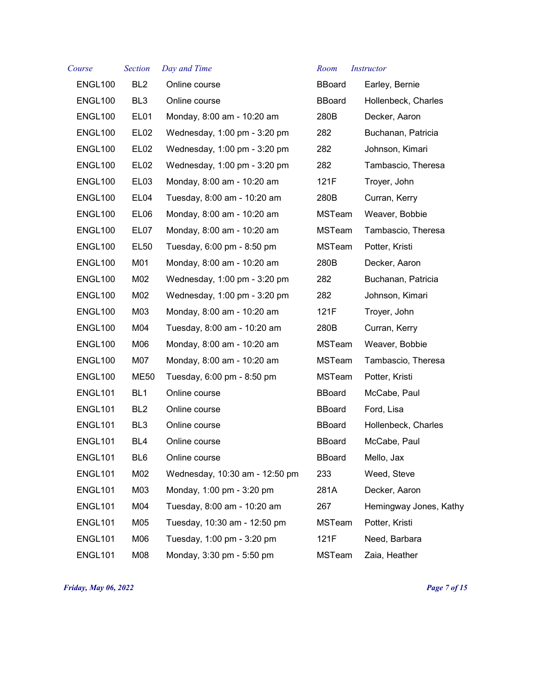| Course         | <b>Section</b>   | Day and Time                   | Room          | <i>Instructor</i>      |
|----------------|------------------|--------------------------------|---------------|------------------------|
| ENGL100        | BL <sub>2</sub>  | Online course                  | <b>BBoard</b> | Earley, Bernie         |
| ENGL100        | BL <sub>3</sub>  | Online course                  | BBoard        | Hollenbeck, Charles    |
| ENGL100        | EL01             | Monday, 8:00 am - 10:20 am     | 280B          | Decker, Aaron          |
| ENGL100        | EL <sub>02</sub> | Wednesday, 1:00 pm - 3:20 pm   | 282           | Buchanan, Patricia     |
| ENGL100        | EL <sub>02</sub> | Wednesday, 1:00 pm - 3:20 pm   | 282           | Johnson, Kimari        |
| ENGL100        | EL <sub>02</sub> | Wednesday, 1:00 pm - 3:20 pm   | 282           | Tambascio, Theresa     |
| ENGL100        | EL <sub>03</sub> | Monday, 8:00 am - 10:20 am     | 121F          | Troyer, John           |
| ENGL100        | EL04             | Tuesday, 8:00 am - 10:20 am    | 280B          | Curran, Kerry          |
| ENGL100        | EL06             | Monday, 8:00 am - 10:20 am     | <b>MSTeam</b> | Weaver, Bobbie         |
| ENGL100        | EL07             | Monday, 8:00 am - 10:20 am     | <b>MSTeam</b> | Tambascio, Theresa     |
| ENGL100        | <b>EL50</b>      | Tuesday, 6:00 pm - 8:50 pm     | MSTeam        | Potter, Kristi         |
| ENGL100        | M01              | Monday, 8:00 am - 10:20 am     | 280B          | Decker, Aaron          |
| ENGL100        | M02              | Wednesday, 1:00 pm - 3:20 pm   | 282           | Buchanan, Patricia     |
| ENGL100        | M02              | Wednesday, 1:00 pm - 3:20 pm   | 282           | Johnson, Kimari        |
| ENGL100        | M03              | Monday, 8:00 am - 10:20 am     | 121F          | Troyer, John           |
| ENGL100        | M04              | Tuesday, 8:00 am - 10:20 am    | 280B          | Curran, Kerry          |
| ENGL100        | M06              | Monday, 8:00 am - 10:20 am     | MSTeam        | Weaver, Bobbie         |
| ENGL100        | M07              | Monday, 8:00 am - 10:20 am     | MSTeam        | Tambascio, Theresa     |
| ENGL100        | ME50             | Tuesday, 6:00 pm - 8:50 pm     | MSTeam        | Potter, Kristi         |
| <b>ENGL101</b> | BL <sub>1</sub>  | Online course                  | <b>BBoard</b> | McCabe, Paul           |
| <b>ENGL101</b> | BL <sub>2</sub>  | Online course                  | <b>BBoard</b> | Ford, Lisa             |
| ENGL101        | BL <sub>3</sub>  | Online course                  | <b>BBoard</b> | Hollenbeck, Charles    |
| ENGL101        | BL <sub>4</sub>  | Online course                  | <b>BBoard</b> | McCabe, Paul           |
| ENGL101        | BL6              | Online course                  | <b>BBoard</b> | Mello, Jax             |
| ENGL101        | M02              | Wednesday, 10:30 am - 12:50 pm | 233           | Weed, Steve            |
| ENGL101        | M03              | Monday, 1:00 pm - 3:20 pm      | 281A          | Decker, Aaron          |
| ENGL101        | M04              | Tuesday, 8:00 am - 10:20 am    | 267           | Hemingway Jones, Kathy |
| <b>ENGL101</b> | M05              | Tuesday, 10:30 am - 12:50 pm   | MSTeam        | Potter, Kristi         |
| <b>ENGL101</b> | M06              | Tuesday, 1:00 pm - 3:20 pm     | 121F          | Need, Barbara          |
| <b>ENGL101</b> | M08              | Monday, 3:30 pm - 5:50 pm      | MSTeam        | Zaia, Heather          |

*Friday, May 06, 2022 Page 7 of 15*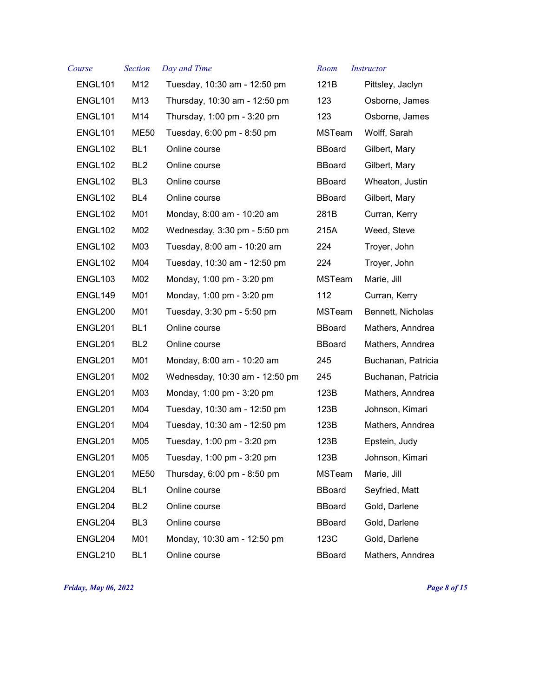| Course              | <b>Section</b>  | Day and Time                   | Room          | <i>Instructor</i>  |
|---------------------|-----------------|--------------------------------|---------------|--------------------|
| <b>ENGL101</b>      | M12             | Tuesday, 10:30 am - 12:50 pm   | 121B          | Pittsley, Jaclyn   |
| ENGL101             | M13             | Thursday, 10:30 am - 12:50 pm  | 123           | Osborne, James     |
| ENGL101             | M14             | Thursday, 1:00 pm - 3:20 pm    | 123           | Osborne, James     |
| ENGL101             | ME50            | Tuesday, 6:00 pm - 8:50 pm     | MSTeam        | Wolff, Sarah       |
| ENGL102             | BL <sub>1</sub> | Online course                  | <b>BBoard</b> | Gilbert, Mary      |
| ENGL102             | BL <sub>2</sub> | Online course                  | <b>BBoard</b> | Gilbert, Mary      |
| ENGL102             | BL <sub>3</sub> | Online course                  | <b>BBoard</b> | Wheaton, Justin    |
| ENGL <sub>102</sub> | BL4             | Online course                  | <b>BBoard</b> | Gilbert, Mary      |
| ENGL102             | M01             | Monday, 8:00 am - 10:20 am     | 281B          | Curran, Kerry      |
| ENGL102             | M02             | Wednesday, 3:30 pm - 5:50 pm   | 215A          | Weed, Steve        |
| ENGL102             | M03             | Tuesday, 8:00 am - 10:20 am    | 224           | Troyer, John       |
| ENGL102             | M04             | Tuesday, 10:30 am - 12:50 pm   | 224           | Troyer, John       |
| ENGL103             | M02             | Monday, 1:00 pm - 3:20 pm      | MSTeam        | Marie, Jill        |
| ENGL149             | M01             | Monday, 1:00 pm - 3:20 pm      | 112           | Curran, Kerry      |
| ENGL200             | M01             | Tuesday, 3:30 pm - 5:50 pm     | MSTeam        | Bennett, Nicholas  |
| ENGL201             | BL <sub>1</sub> | Online course                  | <b>BBoard</b> | Mathers, Anndrea   |
| ENGL201             | BL <sub>2</sub> | Online course                  | <b>BBoard</b> | Mathers, Anndrea   |
| ENGL201             | M01             | Monday, 8:00 am - 10:20 am     | 245           | Buchanan, Patricia |
| ENGL201             | M02             | Wednesday, 10:30 am - 12:50 pm | 245           | Buchanan, Patricia |
| ENGL201             | M03             | Monday, 1:00 pm - 3:20 pm      | 123B          | Mathers, Anndrea   |
| ENGL201             | M04             | Tuesday, 10:30 am - 12:50 pm   | 123B          | Johnson, Kimari    |
| ENGL201             | M04             | Tuesday, 10:30 am - 12:50 pm   | 123B          | Mathers, Anndrea   |
| ENGL201             | M05             | Tuesday, 1:00 pm - 3:20 pm     | 123B          | Epstein, Judy      |
| ENGL201             | M05             | Tuesday, 1:00 pm - 3:20 pm     | 123B          | Johnson, Kimari    |
| ENGL201             | <b>ME50</b>     | Thursday, 6:00 pm - 8:50 pm    | MSTeam        | Marie, Jill        |
| ENGL204             | BL <sub>1</sub> | Online course                  | <b>BBoard</b> | Seyfried, Matt     |
| ENGL204             | BL <sub>2</sub> | Online course                  | <b>BBoard</b> | Gold, Darlene      |
| ENGL204             | BL <sub>3</sub> | Online course                  | <b>BBoard</b> | Gold, Darlene      |
| ENGL204             | M01             | Monday, 10:30 am - 12:50 pm    | 123C          | Gold, Darlene      |
| <b>ENGL210</b>      | BL <sub>1</sub> | Online course                  | <b>BBoard</b> | Mathers, Anndrea   |

*Friday, May 06, 2022 Page 8 of 15*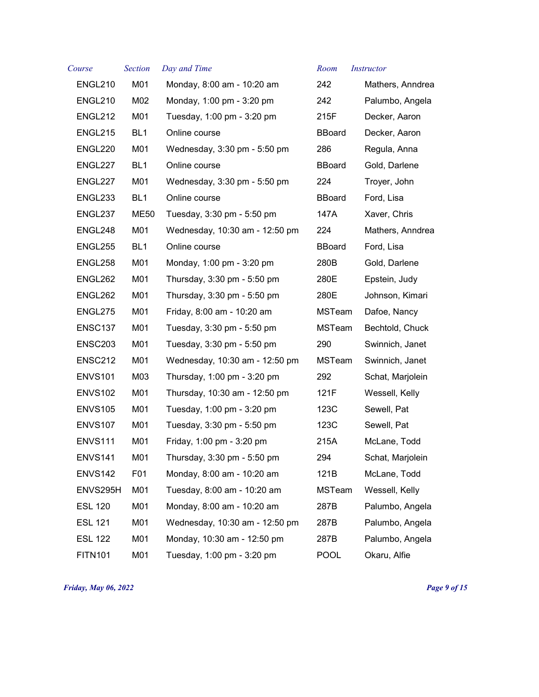| Course         | <b>Section</b>  | Day and Time                   | Room          | <i>Instructor</i> |
|----------------|-----------------|--------------------------------|---------------|-------------------|
| ENGL210        | M01             | Monday, 8:00 am - 10:20 am     | 242           | Mathers, Anndrea  |
| <b>ENGL210</b> | M02             | Monday, 1:00 pm - 3:20 pm      | 242           | Palumbo, Angela   |
| ENGL212        | M01             | Tuesday, 1:00 pm - 3:20 pm     | 215F          | Decker, Aaron     |
| <b>ENGL215</b> | BL <sub>1</sub> | Online course                  | <b>BBoard</b> | Decker, Aaron     |
| ENGL220        | M01             | Wednesday, 3:30 pm - 5:50 pm   | 286           | Regula, Anna      |
| ENGL227        | BL <sub>1</sub> | Online course                  | <b>BBoard</b> | Gold, Darlene     |
| ENGL227        | M01             | Wednesday, 3:30 pm - 5:50 pm   | 224           | Troyer, John      |
| ENGL233        | BL <sub>1</sub> | Online course                  | <b>BBoard</b> | Ford, Lisa        |
| ENGL237        | <b>ME50</b>     | Tuesday, 3:30 pm - 5:50 pm     | 147A          | Xaver, Chris      |
| ENGL248        | M01             | Wednesday, 10:30 am - 12:50 pm | 224           | Mathers, Anndrea  |
| <b>ENGL255</b> | BL <sub>1</sub> | Online course                  | <b>BBoard</b> | Ford, Lisa        |
| ENGL258        | M01             | Monday, 1:00 pm - 3:20 pm      | 280B          | Gold, Darlene     |
| ENGL262        | M01             | Thursday, 3:30 pm - 5:50 pm    | 280E          | Epstein, Judy     |
| ENGL262        | M01             | Thursday, 3:30 pm - 5:50 pm    | 280E          | Johnson, Kimari   |
| ENGL275        | M01             | Friday, 8:00 am - 10:20 am     | MSTeam        | Dafoe, Nancy      |
| <b>ENSC137</b> | M01             | Tuesday, 3:30 pm - 5:50 pm     | MSTeam        | Bechtold, Chuck   |
| <b>ENSC203</b> | M01             | Tuesday, 3:30 pm - 5:50 pm     | 290           | Swinnich, Janet   |
| ENSC212        | M01             | Wednesday, 10:30 am - 12:50 pm | MSTeam        | Swinnich, Janet   |
| <b>ENVS101</b> | M03             | Thursday, 1:00 pm - 3:20 pm    | 292           | Schat, Marjolein  |
| ENVS102        | M01             | Thursday, 10:30 am - 12:50 pm  | 121F          | Wessell, Kelly    |
| <b>ENVS105</b> | M01             | Tuesday, 1:00 pm - 3:20 pm     | 123C          | Sewell, Pat       |
| ENVS107        | M01             | Tuesday, 3:30 pm - 5:50 pm     | 123C          | Sewell, Pat       |
| <b>ENVS111</b> | M01             | Friday, 1:00 pm - 3:20 pm      | 215A          | McLane, Todd      |
| ENVS141        | M01             | Thursday, 3:30 pm - 5:50 pm    | 294           | Schat, Marjolein  |
| <b>ENVS142</b> | F01             | Monday, 8:00 am - 10:20 am     | 121B          | McLane, Todd      |
| ENVS295H       | M01             | Tuesday, 8:00 am - 10:20 am    | <b>MSTeam</b> | Wessell, Kelly    |
| <b>ESL 120</b> | M01             | Monday, 8:00 am - 10:20 am     | 287B          | Palumbo, Angela   |
| <b>ESL 121</b> | M01             | Wednesday, 10:30 am - 12:50 pm | 287B          | Palumbo, Angela   |
| <b>ESL 122</b> | M01             | Monday, 10:30 am - 12:50 pm    | 287B          | Palumbo, Angela   |
| <b>FITN101</b> | M01             | Tuesday, 1:00 pm - 3:20 pm     | <b>POOL</b>   | Okaru, Alfie      |
|                |                 |                                |               |                   |

*Friday, May 06, 2022 Page 9 of 15*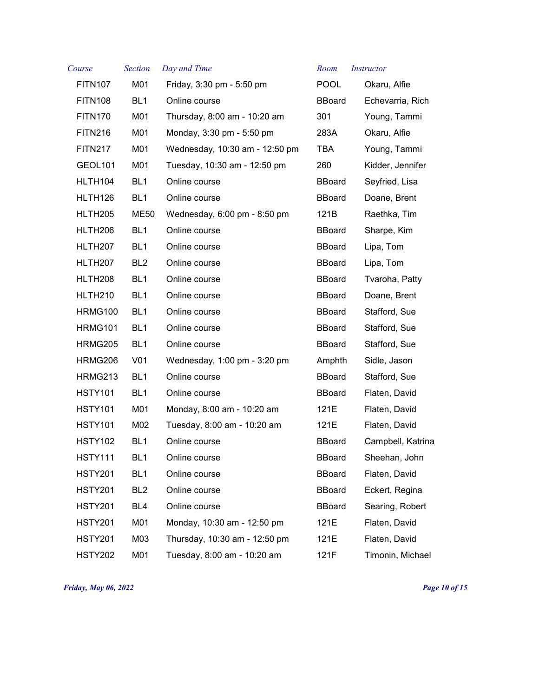| Course              | <b>Section</b>  | Day and Time                   | Room          | <i>Instructor</i> |
|---------------------|-----------------|--------------------------------|---------------|-------------------|
| <b>FITN107</b>      | M01             | Friday, 3:30 pm - 5:50 pm      | <b>POOL</b>   | Okaru, Alfie      |
| <b>FITN108</b>      | BL <sub>1</sub> | Online course                  | <b>BBoard</b> | Echevarria, Rich  |
| <b>FITN170</b>      | M01             | Thursday, 8:00 am - 10:20 am   | 301           | Young, Tammi      |
| <b>FITN216</b>      | M01             | Monday, 3:30 pm - 5:50 pm      | 283A          | Okaru, Alfie      |
| <b>FITN217</b>      | M01             | Wednesday, 10:30 am - 12:50 pm | TBA           | Young, Tammi      |
| <b>GEOL101</b>      | M01             | Tuesday, 10:30 am - 12:50 pm   | 260           | Kidder, Jennifer  |
| HLTH104             | BL <sub>1</sub> | Online course                  | <b>BBoard</b> | Seyfried, Lisa    |
| HLTH <sub>126</sub> | BL <sub>1</sub> | Online course                  | <b>BBoard</b> | Doane, Brent      |
| HLTH205             | ME50            | Wednesday, 6:00 pm - 8:50 pm   | 121B          | Raethka, Tim      |
| HLTH206             | BL <sub>1</sub> | Online course                  | <b>BBoard</b> | Sharpe, Kim       |
| HLTH <sub>207</sub> | BL <sub>1</sub> | Online course                  | <b>BBoard</b> | Lipa, Tom         |
| HLTH <sub>207</sub> | BL <sub>2</sub> | Online course                  | <b>BBoard</b> | Lipa, Tom         |
| HLTH <sub>208</sub> | BL <sub>1</sub> | Online course                  | <b>BBoard</b> | Tvaroha, Patty    |
| HLTH <sub>210</sub> | BL <sub>1</sub> | Online course                  | <b>BBoard</b> | Doane, Brent      |
| HRMG100             | BL <sub>1</sub> | Online course                  | <b>BBoard</b> | Stafford, Sue     |
| <b>HRMG101</b>      | BL <sub>1</sub> | Online course                  | <b>BBoard</b> | Stafford, Sue     |
| HRMG205             | BL <sub>1</sub> | Online course                  | <b>BBoard</b> | Stafford, Sue     |
| HRMG206             | V <sub>01</sub> | Wednesday, 1:00 pm - 3:20 pm   | Amphth        | Sidle, Jason      |
| HRMG213             | BL <sub>1</sub> | Online course                  | <b>BBoard</b> | Stafford, Sue     |
| <b>HSTY101</b>      | BL <sub>1</sub> | Online course                  | <b>BBoard</b> | Flaten, David     |
| <b>HSTY101</b>      | M01             | Monday, 8:00 am - 10:20 am     | 121E          | Flaten, David     |
| <b>HSTY101</b>      | M02             | Tuesday, 8:00 am - 10:20 am    | 121E          | Flaten, David     |
| <b>HSTY102</b>      | BL <sub>1</sub> | Online course                  | <b>BBoard</b> | Campbell, Katrina |
| <b>HSTY111</b>      | BL <sub>1</sub> | Online course                  | <b>BBoard</b> | Sheehan, John     |
| <b>HSTY201</b>      | BL <sub>1</sub> | Online course                  | <b>BBoard</b> | Flaten, David     |
| <b>HSTY201</b>      | BL <sub>2</sub> | Online course                  | <b>BBoard</b> | Eckert, Regina    |
| <b>HSTY201</b>      | BL4             | Online course                  | <b>BBoard</b> | Searing, Robert   |
| <b>HSTY201</b>      | M01             | Monday, 10:30 am - 12:50 pm    | 121E          | Flaten, David     |
| <b>HSTY201</b>      | M03             | Thursday, 10:30 am - 12:50 pm  | 121E          | Flaten, David     |
| <b>HSTY202</b>      | M01             | Tuesday, 8:00 am - 10:20 am    | 121F          | Timonin, Michael  |

*Friday, May 06, 2022 Page 10 of 15*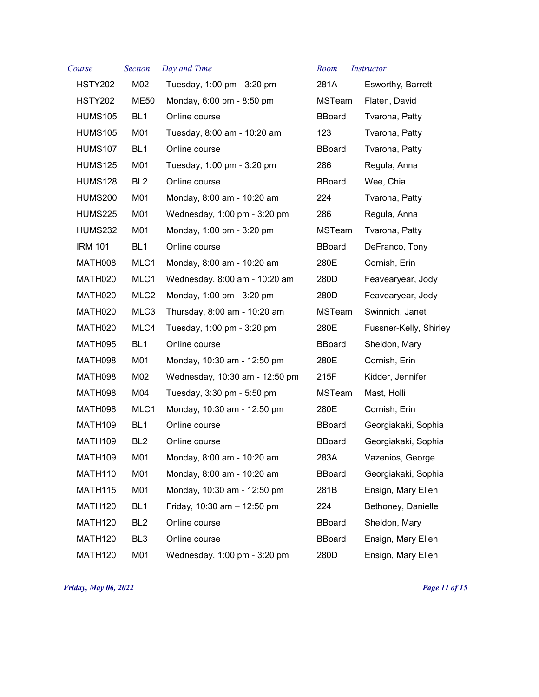| Course              | <b>Section</b>   | Day and Time                   | Room          | <i>Instructor</i>      |
|---------------------|------------------|--------------------------------|---------------|------------------------|
| <b>HSTY202</b>      | M02              | Tuesday, 1:00 pm - 3:20 pm     | 281A          | Esworthy, Barrett      |
| HSTY202             | ME50             | Monday, 6:00 pm - 8:50 pm      | MSTeam        | Flaten, David          |
| <b>HUMS105</b>      | BL <sub>1</sub>  | Online course                  | <b>BBoard</b> | Tvaroha, Patty         |
| <b>HUMS105</b>      | M01              | Tuesday, 8:00 am - 10:20 am    | 123           | Tvaroha, Patty         |
| <b>HUMS107</b>      | BL <sub>1</sub>  | Online course                  | <b>BBoard</b> | Tvaroha, Patty         |
| <b>HUMS125</b>      | M01              | Tuesday, 1:00 pm - 3:20 pm     | 286           | Regula, Anna           |
| <b>HUMS128</b>      | BL <sub>2</sub>  | Online course                  | <b>BBoard</b> | Wee, Chia              |
| <b>HUMS200</b>      | M01              | Monday, 8:00 am - 10:20 am     | 224           | Tvaroha, Patty         |
| <b>HUMS225</b>      | M01              | Wednesday, 1:00 pm - 3:20 pm   | 286           | Regula, Anna           |
| <b>HUMS232</b>      | M01              | Monday, 1:00 pm - 3:20 pm      | <b>MSTeam</b> | Tvaroha, Patty         |
| <b>IRM 101</b>      | BL <sub>1</sub>  | Online course                  | <b>BBoard</b> | DeFranco, Tony         |
| MATH008             | MLC1             | Monday, 8:00 am - 10:20 am     | 280E          | Cornish, Erin          |
| MATH020             | MLC1             | Wednesday, 8:00 am - 10:20 am  | 280D          | Feavearyear, Jody      |
| MATH020             | MLC <sub>2</sub> | Monday, 1:00 pm - 3:20 pm      | 280D          | Feavearyear, Jody      |
| MATH020             | MLC3             | Thursday, 8:00 am - 10:20 am   | <b>MSTeam</b> | Swinnich, Janet        |
| MATH020             | MLC4             | Tuesday, 1:00 pm - 3:20 pm     | 280E          | Fussner-Kelly, Shirley |
| MATH095             | BL <sub>1</sub>  | Online course                  | <b>BBoard</b> | Sheldon, Mary          |
| MATH098             | M01              | Monday, 10:30 am - 12:50 pm    | 280E          | Cornish, Erin          |
| MATH098             | M02              | Wednesday, 10:30 am - 12:50 pm | 215F          | Kidder, Jennifer       |
| MATH098             | M04              | Tuesday, 3:30 pm - 5:50 pm     | <b>MSTeam</b> | Mast, Holli            |
| MATH098             | MLC1             | Monday, 10:30 am - 12:50 pm    | 280E          | Cornish, Erin          |
| MATH <sub>109</sub> | BL <sub>1</sub>  | Online course                  | <b>BBoard</b> | Georgiakaki, Sophia    |
| MATH109             | BL <sub>2</sub>  | Online course                  | <b>BBoard</b> | Georgiakaki, Sophia    |
| MATH109             | M01              | Monday, 8:00 am - 10:20 am     | 283A          | Vazenios, George       |
| MATH110             | M01              | Monday, 8:00 am - 10:20 am     | <b>BBoard</b> | Georgiakaki, Sophia    |
| MATH115             | M01              | Monday, 10:30 am - 12:50 pm    | 281B          | Ensign, Mary Ellen     |
| MATH120             | BL <sub>1</sub>  | Friday, 10:30 am - 12:50 pm    | 224           | Bethoney, Danielle     |
| MATH120             | BL <sub>2</sub>  | Online course                  | <b>BBoard</b> | Sheldon, Mary          |
| MATH120             | BL <sub>3</sub>  | Online course                  | <b>BBoard</b> | Ensign, Mary Ellen     |
| <b>MATH120</b>      | M01              | Wednesday, 1:00 pm - 3:20 pm   | 280D          | Ensign, Mary Ellen     |

## *Course Section Day and Time Room Instructor*

| 281A                | Esworthy, Barrett     |
|---------------------|-----------------------|
| MSTeam              | Flaten, David         |
| <b>Board</b>        | Tvaroha, Patty        |
| 123                 | Tvaroha, Patty        |
| <b>Board</b>        | Tvaroha, Patty        |
| 286                 | Regula, Anna          |
| <b>Board</b>        | Wee, Chia             |
| 224                 | Tvaroha, Patty        |
| 286                 | Regula, Anna          |
| <code>MSTeam</code> | Tvaroha, Patty        |
| <b>Board</b>        | DeFranco, Tony        |
| 280E                | Cornish, Erin         |
| 280D                | Feavearyear, Jody     |
| 280D                | Feavearyear, Jody     |
| MSTeam              | Swinnich, Janet       |
| 280E                | Fussner-Kelly, Shirle |
| <b>Board</b>        | Sheldon, Mary         |
| 280E                | Cornish, Erin         |
| 215F                | Kidder, Jennifer      |
| MSTeam              | Mast, Holli           |
| 280E                | Cornish, Erin         |
| <b>Board</b>        | Georgiakaki, Sophia   |
| <b>Board</b>        | Georgiakaki, Sophia   |
| 283A                | Vazenios, George      |
| 3Board              | Georgiakaki, Sophia   |
| 281B                | Ensign, Mary Ellen    |
| 224                 | Bethoney, Danielle    |
| <b>Board</b>        | Sheldon, Mary         |
| <b>Board</b>        | Ensign, Mary Ellen    |
| 280D                | Ensign, Mary Ellen    |

*Friday, May 06, 2022 Page 11 of 15*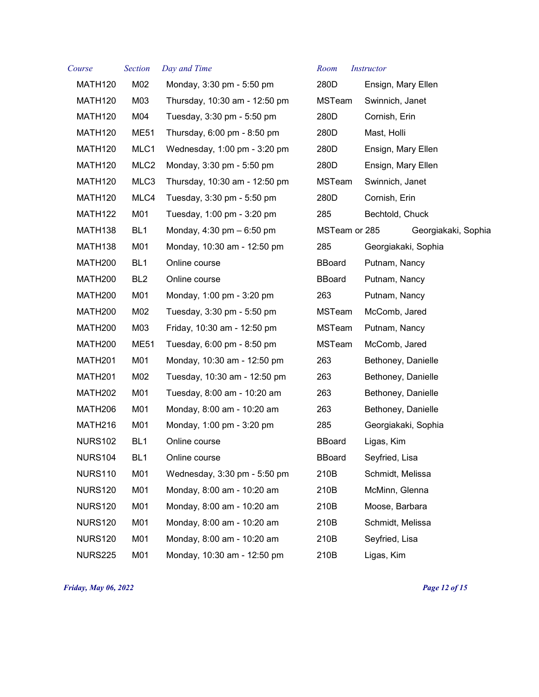| Course              | <b>Section</b>   | Day and Time                                | Room          | <i>Instructor</i>   |
|---------------------|------------------|---------------------------------------------|---------------|---------------------|
| MATH120             | M02              | Monday, 3:30 pm - 5:50 pm                   | 280D          | Ensign, Mary Ellen  |
| MATH120             | M03              | Thursday, 10:30 am - 12:50 pm               | MSTeam        | Swinnich, Janet     |
| MATH120             | M04              | Tuesday, 3:30 pm - 5:50 pm                  | 280D          | Cornish, Erin       |
| MATH120             | <b>ME51</b>      | Thursday, 6:00 pm - 8:50 pm                 | 280D          | Mast, Holli         |
| MATH120             | MLC1             | Wednesday, 1:00 pm - 3:20 pm                | 280D          | Ensign, Mary Ellen  |
| MATH120             | MLC <sub>2</sub> | Monday, 3:30 pm - 5:50 pm                   | 280D          | Ensign, Mary Ellen  |
| MATH120             | MLC3             | Thursday, 10:30 am - 12:50 pm               | MSTeam        | Swinnich, Janet     |
| MATH120             | MLC4             | Tuesday, 3:30 pm - 5:50 pm                  | 280D          | Cornish, Erin       |
| MATH <sub>122</sub> | M01              | Tuesday, 1:00 pm - 3:20 pm                  | 285           | Bechtold, Chuck     |
| MATH <sub>138</sub> | BL <sub>1</sub>  | Monday, $4:30 \text{ pm} - 6:50 \text{ pm}$ | MSTeam or 285 | Georgiakaki, Sophia |
| MATH <sub>138</sub> | M01              | Monday, 10:30 am - 12:50 pm                 | 285           | Georgiakaki, Sophia |
| MATH <sub>200</sub> | BL <sub>1</sub>  | Online course                               | <b>BBoard</b> | Putnam, Nancy       |
| MATH <sub>200</sub> | BL <sub>2</sub>  | Online course                               | <b>BBoard</b> | Putnam, Nancy       |
| MATH <sub>200</sub> | M01              | Monday, 1:00 pm - 3:20 pm                   | 263           | Putnam, Nancy       |
| MATH <sub>200</sub> | M02              | Tuesday, 3:30 pm - 5:50 pm                  | <b>MSTeam</b> | McComb, Jared       |
| MATH <sub>200</sub> | M03              | Friday, 10:30 am - 12:50 pm                 | MSTeam        | Putnam, Nancy       |
| MATH <sub>200</sub> | <b>ME51</b>      | Tuesday, 6:00 pm - 8:50 pm                  | MSTeam        | McComb, Jared       |
| MATH <sub>201</sub> | M01              | Monday, 10:30 am - 12:50 pm                 | 263           | Bethoney, Danielle  |
| MATH <sub>201</sub> | M02              | Tuesday, 10:30 am - 12:50 pm                | 263           | Bethoney, Danielle  |
| MATH <sub>202</sub> | M01              | Tuesday, 8:00 am - 10:20 am                 | 263           | Bethoney, Danielle  |
| MATH <sub>206</sub> | M01              | Monday, 8:00 am - 10:20 am                  | 263           | Bethoney, Danielle  |
| MATH216             | M01              | Monday, 1:00 pm - 3:20 pm                   | 285           | Georgiakaki, Sophia |
| <b>NURS102</b>      | BL <sub>1</sub>  | Online course                               | <b>BBoard</b> | Ligas, Kim          |
| <b>NURS104</b>      | BL1              | Online course                               | <b>BBoard</b> | Seyfried, Lisa      |
| <b>NURS110</b>      | M01              | Wednesday, 3:30 pm - 5:50 pm                | 210B          | Schmidt, Melissa    |
| <b>NURS120</b>      | M01              | Monday, 8:00 am - 10:20 am                  | 210B          | McMinn, Glenna      |
| <b>NURS120</b>      | M01              | Monday, 8:00 am - 10:20 am                  | 210B          | Moose, Barbara      |
| <b>NURS120</b>      | M01              | Monday, 8:00 am - 10:20 am                  | 210B          | Schmidt, Melissa    |
| <b>NURS120</b>      | M01              | Monday, 8:00 am - 10:20 am                  | 210B          | Seyfried, Lisa      |
| <b>NURS225</b>      | M01              | Monday, 10:30 am - 12:50 pm                 | 210B          | Ligas, Kim          |

*Friday, May 06, 2022 Page 12 of 15*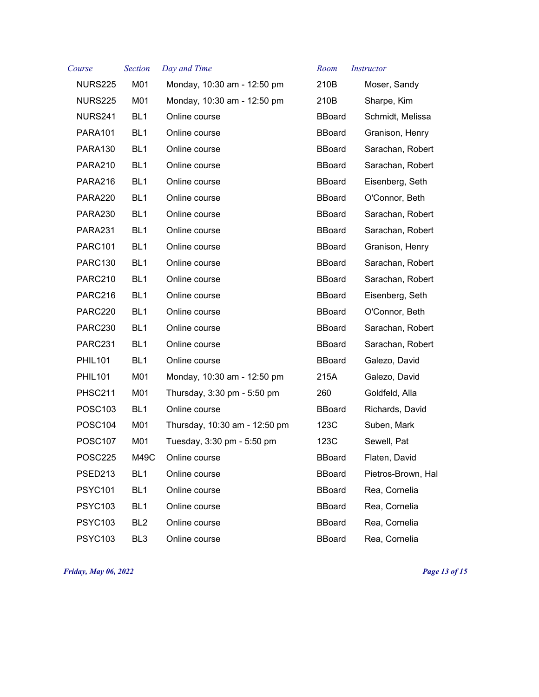| Course              | <b>Section</b>  | Day and Time                  | Room          | <i>Instructor</i>  |
|---------------------|-----------------|-------------------------------|---------------|--------------------|
| <b>NURS225</b>      | M01             | Monday, 10:30 am - 12:50 pm   | 210B          | Moser, Sandy       |
| <b>NURS225</b>      | M01             | Monday, 10:30 am - 12:50 pm   | 210B          | Sharpe, Kim        |
| NURS241             | BL <sub>1</sub> | Online course                 | <b>BBoard</b> | Schmidt, Melissa   |
| <b>PARA101</b>      | BL <sub>1</sub> | Online course                 | <b>BBoard</b> | Granison, Henry    |
| <b>PARA130</b>      | BL <sub>1</sub> | Online course                 | <b>BBoard</b> | Sarachan, Robert   |
| <b>PARA210</b>      | BL <sub>1</sub> | Online course                 | <b>BBoard</b> | Sarachan, Robert   |
| <b>PARA216</b>      | BL <sub>1</sub> | Online course                 | <b>BBoard</b> | Eisenberg, Seth    |
| PARA220             | BL <sub>1</sub> | Online course                 | <b>BBoard</b> | O'Connor, Beth     |
| PARA230             | BL <sub>1</sub> | Online course                 | <b>BBoard</b> | Sarachan, Robert   |
| PARA231             | BL <sub>1</sub> | Online course                 | <b>BBoard</b> | Sarachan, Robert   |
| <b>PARC101</b>      | BL <sub>1</sub> | Online course                 | <b>BBoard</b> | Granison, Henry    |
| PARC130             | BL <sub>1</sub> | Online course                 | <b>BBoard</b> | Sarachan, Robert   |
| PARC210             | BL <sub>1</sub> | Online course                 | <b>BBoard</b> | Sarachan, Robert   |
| PARC216             | BL <sub>1</sub> | Online course                 | <b>BBoard</b> | Eisenberg, Seth    |
| PARC220             | BL <sub>1</sub> | Online course                 | <b>BBoard</b> | O'Connor, Beth     |
| PARC230             | BL <sub>1</sub> | Online course                 | <b>BBoard</b> | Sarachan, Robert   |
| PARC231             | BL <sub>1</sub> | Online course                 | <b>BBoard</b> | Sarachan, Robert   |
| <b>PHIL101</b>      | BL <sub>1</sub> | Online course                 | <b>BBoard</b> | Galezo, David      |
| <b>PHIL101</b>      | M01             | Monday, 10:30 am - 12:50 pm   | 215A          | Galezo, David      |
| <b>PHSC211</b>      | M01             | Thursday, 3:30 pm - 5:50 pm   | 260           | Goldfeld, Alla     |
| <b>POSC103</b>      | BL <sub>1</sub> | Online course                 | <b>BBoard</b> | Richards, David    |
| POSC <sub>104</sub> | M01             | Thursday, 10:30 am - 12:50 pm | 123C          | Suben, Mark        |
| <b>POSC107</b>      | M01             | Tuesday, 3:30 pm - 5:50 pm    | 123C          | Sewell, Pat        |
| <b>POSC225</b>      | M49C            | Online course                 | <b>BBoard</b> | Flaten, David      |
| PSED213             | BL <sub>1</sub> | Online course                 | BBoard        | Pietros-Brown, Hal |
| <b>PSYC101</b>      | BL <sub>1</sub> | Online course                 | <b>BBoard</b> | Rea, Cornelia      |
| <b>PSYC103</b>      | BL <sub>1</sub> | Online course                 | <b>BBoard</b> | Rea, Cornelia      |
| <b>PSYC103</b>      | BL <sub>2</sub> | Online course                 | <b>BBoard</b> | Rea, Cornelia      |
| <b>PSYC103</b>      | BL <sub>3</sub> | Online course                 | <b>BBoard</b> | Rea, Cornelia      |

*Friday, May 06, 2022 Page 13 of 15*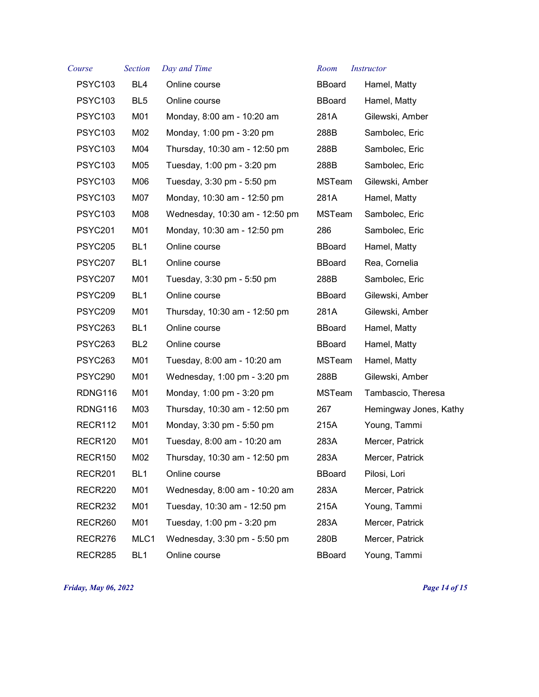| Course         | <b>Section</b>  | Day and Time                   | Room          | <i>Instructor</i>      |
|----------------|-----------------|--------------------------------|---------------|------------------------|
| <b>PSYC103</b> | BL4             | Online course                  | <b>BBoard</b> | Hamel, Matty           |
| <b>PSYC103</b> | BL <sub>5</sub> | Online course                  | <b>BBoard</b> | Hamel, Matty           |
| <b>PSYC103</b> | M01             | Monday, 8:00 am - 10:20 am     | 281A          | Gilewski, Amber        |
| <b>PSYC103</b> | M02             | Monday, 1:00 pm - 3:20 pm      | 288B          | Sambolec, Eric         |
| <b>PSYC103</b> | M04             | Thursday, 10:30 am - 12:50 pm  | 288B          | Sambolec, Eric         |
| <b>PSYC103</b> | M05             | Tuesday, 1:00 pm - 3:20 pm     | 288B          | Sambolec, Eric         |
| <b>PSYC103</b> | M06             | Tuesday, 3:30 pm - 5:50 pm     | <b>MSTeam</b> | Gilewski, Amber        |
| <b>PSYC103</b> | M07             | Monday, 10:30 am - 12:50 pm    | 281A          | Hamel, Matty           |
| <b>PSYC103</b> | M08             | Wednesday, 10:30 am - 12:50 pm | <b>MSTeam</b> | Sambolec, Eric         |
| <b>PSYC201</b> | M01             | Monday, 10:30 am - 12:50 pm    | 286           | Sambolec, Eric         |
| <b>PSYC205</b> | BL <sub>1</sub> | Online course                  | <b>BBoard</b> | Hamel, Matty           |
| <b>PSYC207</b> | BL <sub>1</sub> | Online course                  | <b>BBoard</b> | Rea, Cornelia          |
| <b>PSYC207</b> | M01             | Tuesday, 3:30 pm - 5:50 pm     | 288B          | Sambolec, Eric         |
| <b>PSYC209</b> | BL <sub>1</sub> | Online course                  | <b>BBoard</b> | Gilewski, Amber        |
| <b>PSYC209</b> | M01             | Thursday, 10:30 am - 12:50 pm  | 281A          | Gilewski, Amber        |
| PSYC263        | BL <sub>1</sub> | Online course                  | <b>BBoard</b> | Hamel, Matty           |
| PSYC263        | BL <sub>2</sub> | Online course                  | <b>BBoard</b> | Hamel, Matty           |
| PSYC263        | M01             | Tuesday, 8:00 am - 10:20 am    | <b>MSTeam</b> | Hamel, Matty           |
| PSYC290        | M01             | Wednesday, 1:00 pm - 3:20 pm   | 288B          | Gilewski, Amber        |
| RDNG116        | M01             | Monday, 1:00 pm - 3:20 pm      | MSTeam        | Tambascio, Theresa     |
| RDNG116        | M03             | Thursday, 10:30 am - 12:50 pm  | 267           | Hemingway Jones, Kathy |
| RECR112        | M01             | Monday, 3:30 pm - 5:50 pm      | 215A          | Young, Tammi           |
| RECR120        | M01             | Tuesday, 8:00 am - 10:20 am    | 283A          | Mercer, Patrick        |
| RECR150        | M02             | Thursday, 10:30 am - 12:50 pm  | 283A          | Mercer, Patrick        |
| RECR201        | BL <sub>1</sub> | Online course                  | <b>BBoard</b> | Pilosi, Lori           |
| RECR220        | M01             | Wednesday, 8:00 am - 10:20 am  | 283A          | Mercer, Patrick        |
| RECR232        | M01             | Tuesday, 10:30 am - 12:50 pm   | 215A          | Young, Tammi           |
| RECR260        | M01             | Tuesday, 1:00 pm - 3:20 pm     | 283A          | Mercer, Patrick        |
| RECR276        | MLC1            | Wednesday, 3:30 pm - 5:50 pm   | 280B          | Mercer, Patrick        |
| RECR285        | BL <sub>1</sub> | Online course                  | <b>BBoard</b> | Young, Tammi           |

*Friday, May 06, 2022 Page 14 of 15*